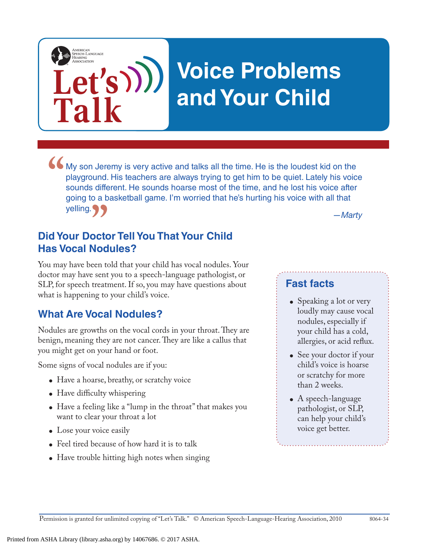# **Voice Problems and Your Child**

• My son Jeremy is very active and talks all the time. He is the loudest kid on the playground. His teachers are always trying to get him to be quiet. Lately his voice sounds different. He sounds hoarse most of the time, a playground. His teachers are always trying to get him to be quiet. Lately his voice sounds different. He sounds hoarse most of the time, and he lost his voice after going to a basketball game. I'm worried that he's hurting his voice with all that yelling. 99

*—Marty*

## **Did Your Doctor Tell You That Your Child Has Vocal Nodules? "**

You may have been told that your child has vocal nodules. Your doctor may have sent you to a speech-language pathologist, or SLP, for speech treatment. If so, you may have questions about what is happening to your child's voice.

### **What Are Vocal Nodules?**

Let's)))

**Talk**

AMERICAN<br>SPEECH-LANGUAGE-<br>HEARING

Nodules are growths on the vocal cords in your throat. They are benign, meaning they are not cancer. They are like a callus that you might get on your hand or foot.

Some signs of vocal nodules are if you:

- Have a hoarse, breathy, or scratchy voice
- Have difficulty whispering
- Have a feeling like a "lump in the throat" that makes you want to clear your throat a lot
- Lose your voice easily
- Feel tired because of how hard it is to talk
- Have trouble hitting high notes when singing

#### **Fast facts**

- Speaking a lot or very loudly may cause vocal nodules, especially if your child has a cold, allergies, or acid reflux.
- See your doctor if your child's voice is hoarse or scratchy for more than 2 weeks.
- A speech-language pathologist, or SLP, can help your child's voice get better.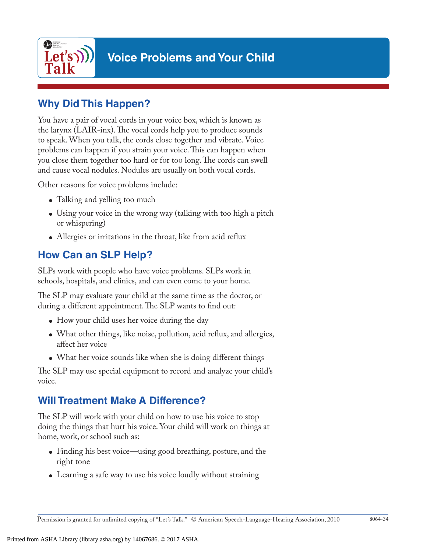

## **Voice Problems and Your Child**

#### **Why Did This Happen?**

You have a pair of vocal cords in your voice box, which is known as the larynx (LAIR-inx). The vocal cords help you to produce sounds to speak. When you talk, the cords close together and vibrate. Voice problems can happen if you strain your voice. This can happen when you close them together too hard or for too long. The cords can swell and cause vocal nodules. Nodules are usually on both vocal cords.

Other reasons for voice problems include:

- Talking and yelling too much
- Using your voice in the wrong way (talking with too high a pitch or whispering)
- Allergies or irritations in the throat, like from acid reflux

### **How Can an SLP Help?**

SLPs work with people who have voice problems. SLPs work in schools, hospitals, and clinics, and can even come to your home.

The SLP may evaluate your child at the same time as the doctor, or during a different appointment. The SLP wants to find out:

- How your child uses her voice during the day
- What other things, like noise, pollution, acid reflux, and allergies, affect her voice
- What her voice sounds like when she is doing different things

The SLP may use special equipment to record and analyze your child's voice.

### **Will Treatment Make A Difference?**

The SLP will work with your child on how to use his voice to stop doing the things that hurt his voice. Your child will work on things at home, work, or school such as:

- Finding his best voice—using good breathing, posture, and the right tone
- Learning a safe way to use his voice loudly without straining